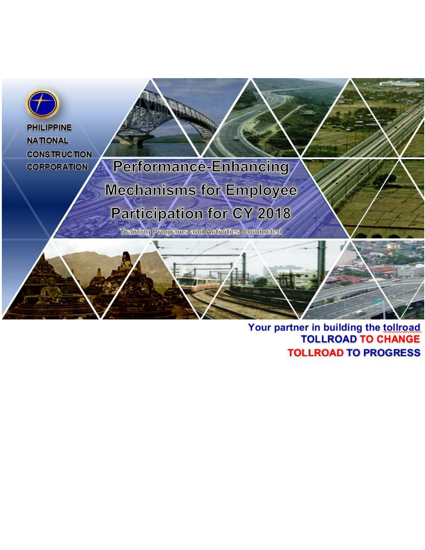

# Your partner in building the tollroad<br>TOLLROAD TO CHANGE **TOLLROAD TO PROGRESS**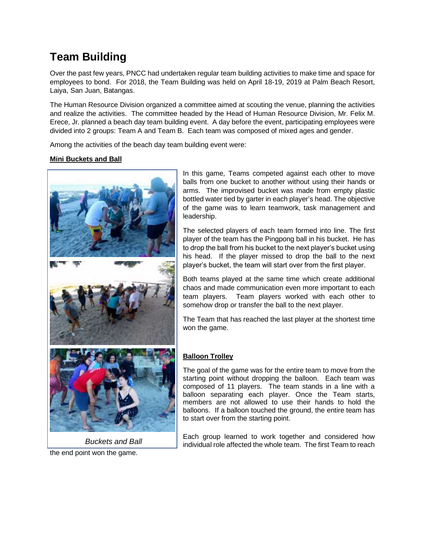## **Team Building**

Over the past few years, PNCC had undertaken regular team building activities to make time and space for employees to bond. For 2018, the Team Building was held on April 18-19, 2019 at Palm Beach Resort, Laiya, San Juan, Batangas.

The Human Resource Division organized a committee aimed at scouting the venue, planning the activities and realize the activities. The committee headed by the Head of Human Resource Division, Mr. Felix M. Erece, Jr. planned a beach day team building event. A day before the event, participating employees were divided into 2 groups: Team A and Team B. Each team was composed of mixed ages and gender.

Among the activities of the beach day team building event were:

#### **Mini Buckets and Ball**



the end point won the game. *Buckets and Ball* In this game, Teams competed against each other to move balls from one bucket to another without using their hands or arms. The improvised bucket was made from empty plastic bottled water tied by garter in each player's head. The objective of the game was to learn teamwork, task management and leadership.

The selected players of each team formed into line. The first player of the team has the Pingpong ball in his bucket. He has to drop the ball from his bucket to the next player's bucket using his head. If the player missed to drop the ball to the next player's bucket, the team will start over from the first player.

Both teams played at the same time which create additional chaos and made communication even more important to each team players. Team players worked with each other to somehow drop or transfer the ball to the next player.

The Team that has reached the last player at the shortest time won the game.

#### **Balloon Trolley**

The goal of the game was for the entire team to move from the starting point without dropping the balloon. Each team was composed of 11 players. The team stands in a line with a balloon separating each player. Once the Team starts, members are not allowed to use their hands to hold the balloons. If a balloon touched the ground, the entire team has to start over from the starting point.

Each group learned to work together and considered how individual role affected the whole team. The first Team to reach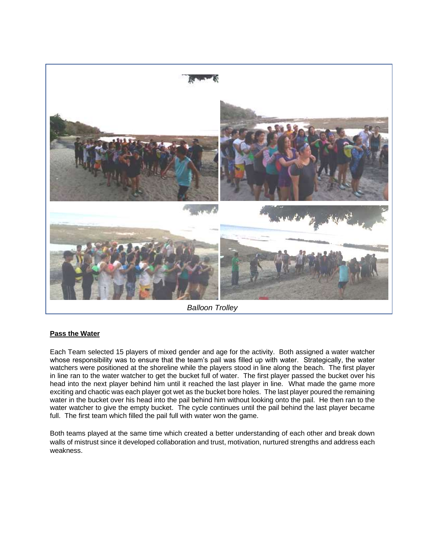

*Balloon Trolley*

#### **Pass the Water**

Each Team selected 15 players of mixed gender and age for the activity. Both assigned a water watcher whose responsibility was to ensure that the team's pail was filled up with water. Strategically, the water watchers were positioned at the shoreline while the players stood in line along the beach. The first player in line ran to the water watcher to get the bucket full of water. The first player passed the bucket over his head into the next player behind him until it reached the last player in line. What made the game more exciting and chaotic was each player got wet as the bucket bore holes. The last player poured the remaining water in the bucket over his head into the pail behind him without looking onto the pail. He then ran to the water watcher to give the empty bucket. The cycle continues until the pail behind the last player became full. The first team which filled the pail full with water won the game.

Both teams played at the same time which created a better understanding of each other and break down walls of mistrust since it developed collaboration and trust, motivation, nurtured strengths and address each weakness.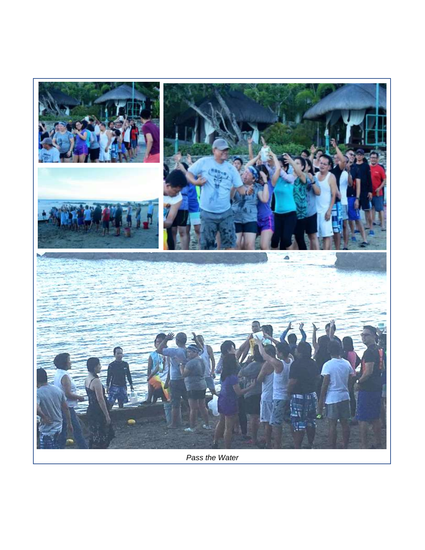

*Pass the Water*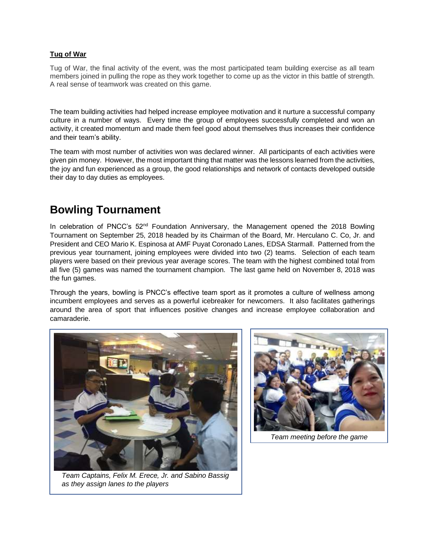#### **Tug of War**

Tug of War, the final activity of the event, was the most participated team building exercise as all team members joined in pulling the rope as they work together to come up as the victor in this battle of strength. A real sense of teamwork was created on this game.

The team building activities had helped increase employee motivation and it nurture a successful company culture in a number of ways. Every time the group of employees successfully completed and won an activity, it created momentum and made them feel good about themselves thus increases their confidence and their team's ability.

The team with most number of activities won was declared winner. All participants of each activities were given pin money. However, the most important thing that matter was the lessons learned from the activities, the joy and fun experienced as a group, the good relationships and network of contacts developed outside their day to day duties as employees.

### **Bowling Tournament**

In celebration of PNCC's 52<sup>nd</sup> Foundation Anniversary, the Management opened the 2018 Bowling Tournament on September 25, 2018 headed by its Chairman of the Board, Mr. Herculano C. Co, Jr. and President and CEO Mario K. Espinosa at AMF Puyat Coronado Lanes, EDSA Starmall. Patterned from the previous year tournament, joining employees were divided into two (2) teams. Selection of each team players were based on their previous year average scores. The team with the highest combined total from all five (5) games was named the tournament champion. The last game held on November 8, 2018 was the fun games.

Through the years, bowling is PNCC's effective team sport as it promotes a culture of wellness among incumbent employees and serves as a powerful icebreaker for newcomers. It also facilitates gatherings around the area of sport that influences positive changes and increase employee collaboration and camaraderie.



*Team Captains, Felix M. Erece, Jr. and Sabino Bassig as they assign lanes to the players*



*Team meeting before the game*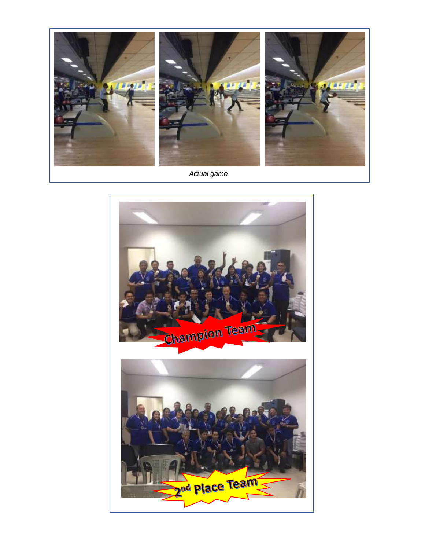

*Actual game*